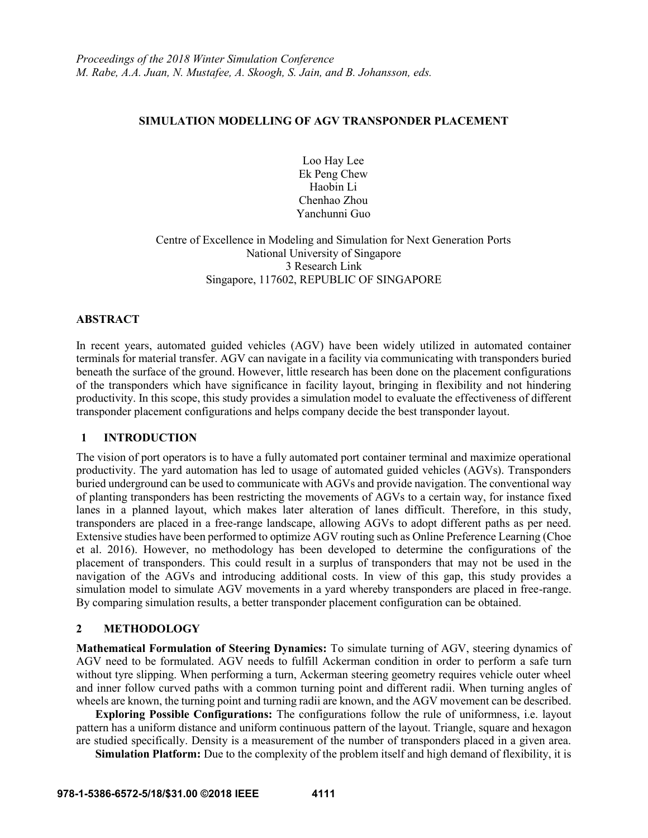# **SIMULATION MODELLING OF AGV TRANSPONDER PLACEMENT**

Loo Hay Lee Ek Peng Chew Haobin Li Chenhao Zhou Yanchunni Guo

Centre of Excellence in Modeling and Simulation for Next Generation Ports National University of Singapore 3 Research Link Singapore, 117602, REPUBLIC OF SINGAPORE

### **ABSTRACT**

In recent years, automated guided vehicles (AGV) have been widely utilized in automated container terminals for material transfer. AGV can navigate in a facility via communicating with transponders buried beneath the surface of the ground. However, little research has been done on the placement configurations of the transponders which have significance in facility layout, bringing in flexibility and not hindering productivity. In this scope, this study provides a simulation model to evaluate the effectiveness of different transponder placement configurations and helps company decide the best transponder layout.

# **1 INTRODUCTION**

The vision of port operators is to have a fully automated port container terminal and maximize operational productivity. The yard automation has led to usage of automated guided vehicles (AGVs). Transponders buried underground can be used to communicate with AGVs and provide navigation. The conventional way of planting transponders has been restricting the movements of AGVs to a certain way, for instance fixed lanes in a planned layout, which makes later alteration of lanes difficult. Therefore, in this study, transponders are placed in a free-range landscape, allowing AGVs to adopt different paths as per need. Extensive studies have been performed to optimize AGV routing such as Online Preference Learning (Choe et al. 2016). However, no methodology has been developed to determine the configurations of the placement of transponders. This could result in a surplus of transponders that may not be used in the navigation of the AGVs and introducing additional costs. In view of this gap, this study provides a simulation model to simulate AGV movements in a yard whereby transponders are placed in free-range. By comparing simulation results, a better transponder placement configuration can be obtained.

# **2 METHODOLOGY**

**Mathematical Formulation of Steering Dynamics:** To simulate turning of AGV, steering dynamics of AGV need to be formulated. AGV needs to fulfill Ackerman condition in order to perform a safe turn without tyre slipping. When performing a turn, Ackerman steering geometry requires vehicle outer wheel and inner follow curved paths with a common turning point and different radii. When turning angles of wheels are known, the turning point and turning radii are known, and the AGV movement can be described.

**Exploring Possible Configurations:** The configurations follow the rule of uniformness, i.e. layout pattern has a uniform distance and uniform continuous pattern of the layout. Triangle, square and hexagon are studied specifically. Density is a measurement of the number of transponders placed in a given area.

**Simulation Platform:** Due to the complexity of the problem itself and high demand of flexibility, it is